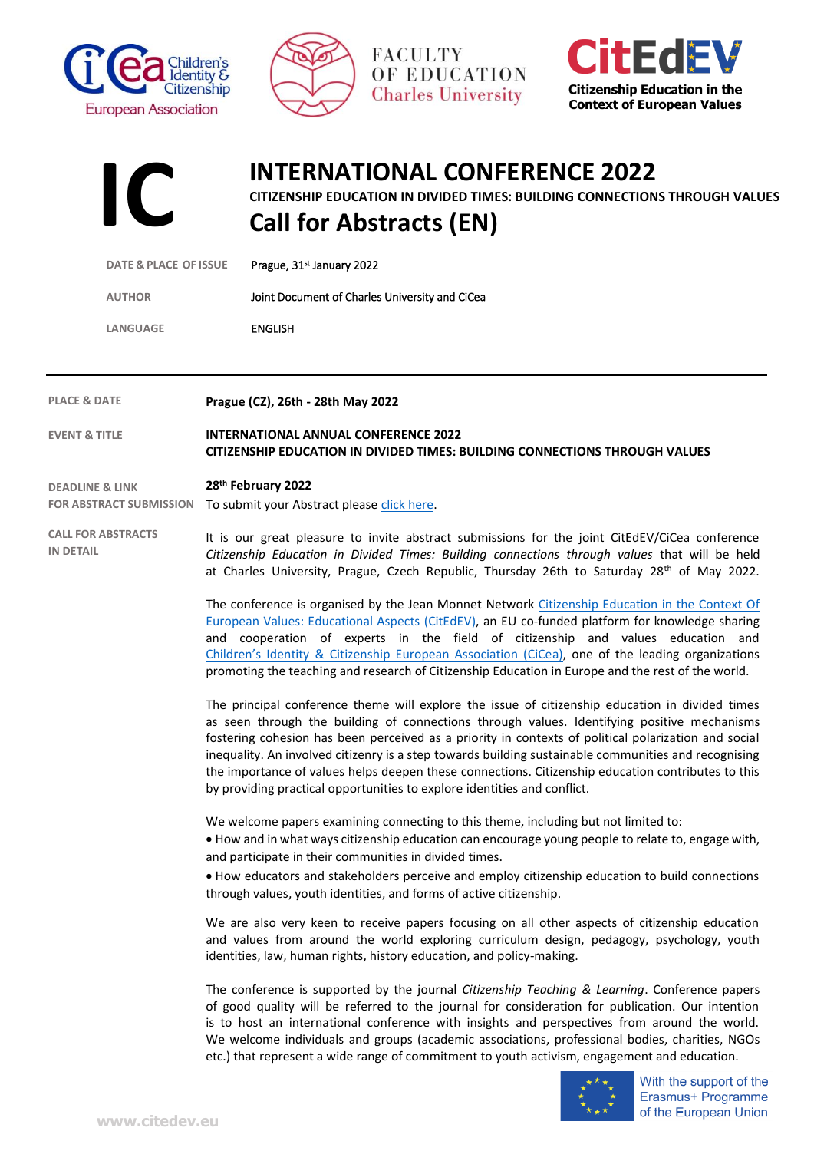







## **INTERNATIONAL CONFERENCE 2022**

**CITIZENSHIP EDUCATION IN DIVIDED TIMES: BUILDING CONNECTIONS THROUGH VALUES**

**Call for Abstracts (EN)**

| <b>DATE &amp; PLACE OF ISSUE</b>                             | Prague, 31st January 2022                                                                                                                                                                                                                                                                                                                                                                                                                                                                    |
|--------------------------------------------------------------|----------------------------------------------------------------------------------------------------------------------------------------------------------------------------------------------------------------------------------------------------------------------------------------------------------------------------------------------------------------------------------------------------------------------------------------------------------------------------------------------|
| <b>AUTHOR</b>                                                | Joint Document of Charles University and CiCea                                                                                                                                                                                                                                                                                                                                                                                                                                               |
| LANGUAGE                                                     | <b>ENGLISH</b>                                                                                                                                                                                                                                                                                                                                                                                                                                                                               |
|                                                              |                                                                                                                                                                                                                                                                                                                                                                                                                                                                                              |
| <b>PLACE &amp; DATE</b>                                      | Prague (CZ), 26th - 28th May 2022                                                                                                                                                                                                                                                                                                                                                                                                                                                            |
| <b>EVENT &amp; TITLE</b>                                     | <b>INTERNATIONAL ANNUAL CONFERENCE 2022</b><br>CITIZENSHIP EDUCATION IN DIVIDED TIMES: BUILDING CONNECTIONS THROUGH VALUES                                                                                                                                                                                                                                                                                                                                                                   |
| <b>DEADLINE &amp; LINK</b><br><b>FOR ABSTRACT SUBMISSION</b> | 28 <sup>th</sup> February 2022<br>To submit your Abstract please click here.                                                                                                                                                                                                                                                                                                                                                                                                                 |
| <b>CALL FOR ABSTRACTS</b><br><b>IN DETAIL</b>                | It is our great pleasure to invite abstract submissions for the joint CitEdEV/CiCea conference<br>Citizenship Education in Divided Times: Building connections through values that will be held<br>at Charles University, Prague, Czech Republic, Thursday 26th to Saturday 28th of May 2022.                                                                                                                                                                                                |
|                                                              | The conference is organised by the Jean Monnet Network Citizenship Education in the Context Of<br>European Values: Educational Aspects (CitEdEV), an EU co-funded platform for knowledge sharing<br>and cooperation of experts in the field of citizenship and values education and<br>Children's Identity & Citizenship European Association (CiCea), one of the leading organizations<br>promoting the teaching and research of Citizenship Education in Europe and the rest of the world. |
|                                                              | The principal conference theme will explore the issue of citizenship education in divided times<br>as seen through the building of connections through values. Identifying positive mechanisms                                                                                                                                                                                                                                                                                               |

as seen through the building of connections through values. Identifying positive mechanisms fostering cohesion has been perceived as a priority in contexts of political polarization and social inequality. An involved citizenry is a step towards building sustainable communities and recognising the importance of values helps deepen these connections. Citizenship education contributes to this by providing practical opportunities to explore identities and conflict.

We welcome papers examining connecting to this theme, including but not limited to:

• How and in what ways citizenship education can encourage young people to relate to, engage with, and participate in their communities in divided times.

• How educators and stakeholders perceive and employ citizenship education to build connections through values, youth identities, and forms of active citizenship.

We are also very keen to receive papers focusing on all other aspects of citizenship education and values from around the world exploring curriculum design, pedagogy, psychology, youth identities, law, human rights, history education, and policy-making.

The conference is supported by the journal *Citizenship Teaching & Learning*. Conference papers of good quality will be referred to the journal for consideration for publication. Our intention is to host an international conference with insights and perspectives from around the world. We welcome individuals and groups (academic associations, professional bodies, charities, NGOs etc.) that represent a wide range of commitment to youth activism, engagement and education.